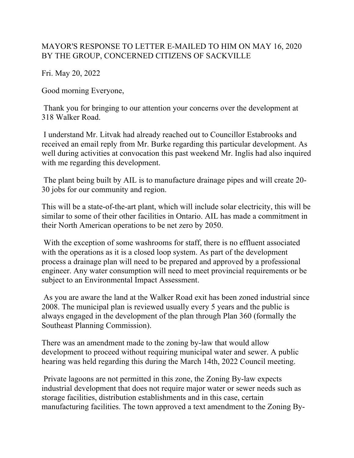## MAYOR'S RESPONSE TO LETTER E-MAILED TO HIM ON MAY 16, 2020 BY THE GROUP, CONCERNED CITIZENS OF SACKVILLE

Fri. May 20, 2022

Good morning Everyone,

Thank you for bringing to our attention your concerns over the development at 318 Walker Road.

I understand Mr. Litvak had already reached out to Councillor Estabrooks and received an email reply from Mr. Burke regarding this particular development. As well during activities at convocation this past weekend Mr. Inglis had also inquired with me regarding this development.

The plant being built by AIL is to manufacture drainage pipes and will create 20- 30 jobs for our community and region.

This will be a state-of-the-art plant, which will include solar electricity, this will be similar to some of their other facilities in Ontario. AIL has made a commitment in their North American operations to be net zero by 2050.

With the exception of some washrooms for staff, there is no effluent associated with the operations as it is a closed loop system. As part of the development process a drainage plan will need to be prepared and approved by a professional engineer. Any water consumption will need to meet provincial requirements or be subject to an Environmental Impact Assessment.

As you are aware the land at the Walker Road exit has been zoned industrial since 2008. The municipal plan is reviewed usually every 5 years and the public is always engaged in the development of the plan through Plan 360 (formally the Southeast Planning Commission).

There was an amendment made to the zoning by-law that would allow development to proceed without requiring municipal water and sewer. A public hearing was held regarding this during the March 14th, 2022 Council meeting.

Private lagoons are not permitted in this zone, the Zoning By-law expects industrial development that does not require major water or sewer needs such as storage facilities, distribution establishments and in this case, certain manufacturing facilities. The town approved a text amendment to the Zoning By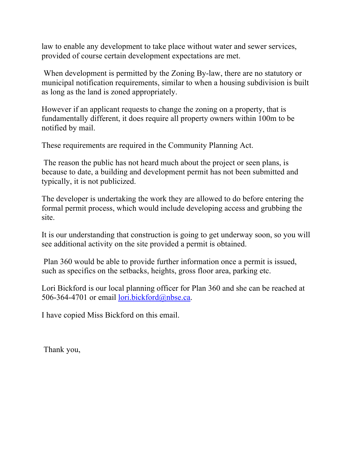law to enable any development to take place without water and sewer services, provided of course certain development expectations are met.

When development is permitted by the Zoning By-law, there are no statutory or municipal notification requirements, similar to when a housing subdivision is built as long as the land is zoned appropriately.

However if an applicant requests to change the zoning on a property, that is fundamentally different, it does require all property owners within 100m to be notified by mail.

These requirements are required in the Community Planning Act.

The reason the public has not heard much about the project or seen plans, is because to date, a building and development permit has not been submitted and typically, it is not publicized.

The developer is undertaking the work they are allowed to do before entering the formal permit process, which would include developing access and grubbing the site.

It is our understanding that construction is going to get underway soon, so you will see additional activity on the site provided a permit is obtained.

Plan 360 would be able to provide further information once a permit is issued, such as specifics on the setbacks, heights, gross floor area, parking etc.

Lori Bickford is our local planning officer for Plan 360 and she can be reached at 506-364-4701 or email lori.bickford@nbse.ca.

I have copied Miss Bickford on this email.

Thank you,